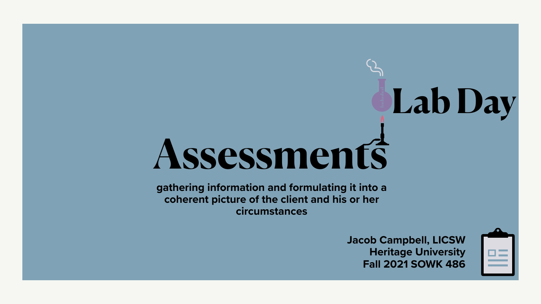



# **Assessments Lab Day**



**gathering information and formulating it into a coherent picture of the client and his or her circumstances**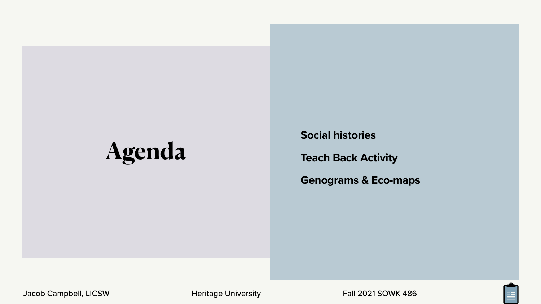**Social histories**

### **Teach Back Activity**

**Genograms & Eco-maps**





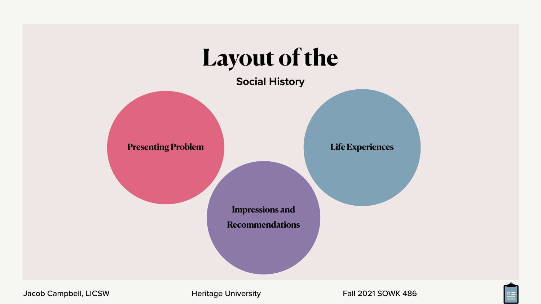### **Social History**

## **Layout of the**



Jacob Campbell, LICSW **Heritage University** Fall 2021 SOWK 486

**Impressions and Recommendations**





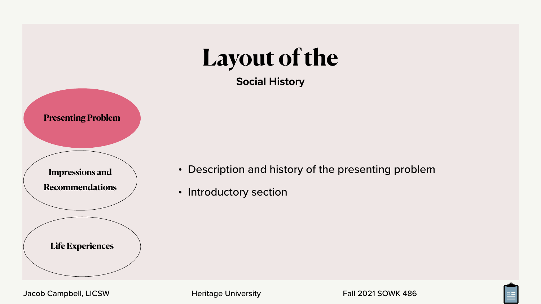• Description and history of the presenting problem





- 
- Introductory section





**Life Experiences**

Jacob Campbell, LICSW Heritage University Fall 2021 SOWK 486



**Recommendations**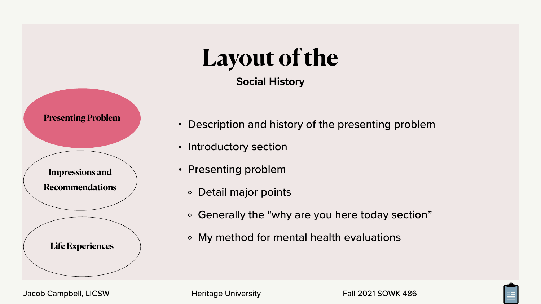### **Social History Layout of the**

• Description and history of the presenting problem





![](_page_4_Figure_1.jpeg)

- Introductory section
- Presenting problem
	- Detail major points
	- Generally the "why are you here today section"
	- My method for mental health evaluations

![](_page_4_Figure_7.jpeg)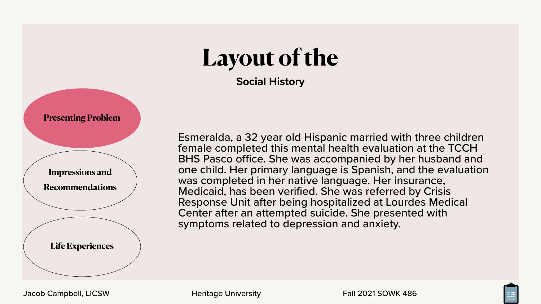### **Social History Layout of the**

![](_page_5_Picture_6.jpeg)

![](_page_5_Picture_9.jpeg)

Esmeralda, a 32 year old Hispanic married with three children female completed this mental health evaluation at the TCCH BHS Pasco office. She was accompanied by her husband and one child. Her primary language is Spanish, and the evaluation was completed in her native language. Her insurance, Medicaid, has been verified. She was referred by Crisis Response Unit after being hospitalized at Lourdes Medical Center after an attempted suicide. She presented with symptoms related to depression and anxiety.

![](_page_5_Figure_0.jpeg)

![](_page_5_Figure_1.jpeg)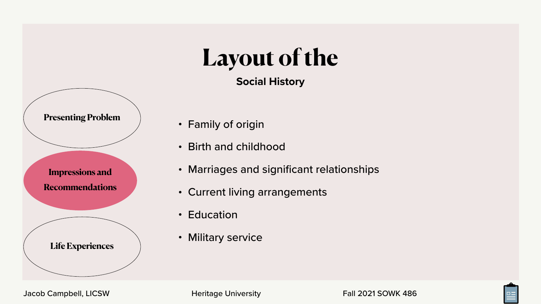- 
- 

![](_page_6_Picture_12.jpeg)

![](_page_6_Picture_13.jpeg)

![](_page_6_Picture_15.jpeg)

![](_page_6_Figure_0.jpeg)

![](_page_6_Figure_1.jpeg)

- Marriages and significant relationships
- Current living arrangements
- Education
- Military service

![](_page_6_Figure_6.jpeg)

Jacob Campbell, LICSW **Heritage University** Fall 2021 SOWK 486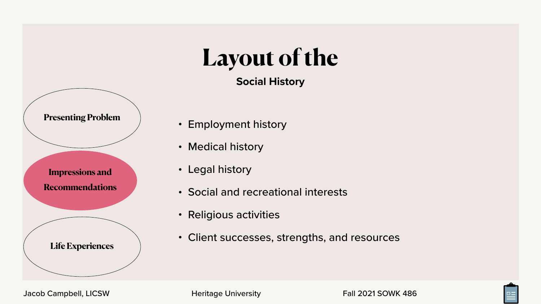- Employment history
- Medical history
- Legal history
- 
- Religious activities
- 

Jacob Campbell, LICSW **Heritage University** Fall 2021 SOWK 486

• Social and recreational interests

• Client successes, strengths, and resources

![](_page_7_Picture_18.jpeg)

![](_page_7_Picture_19.jpeg)

![](_page_7_Figure_0.jpeg)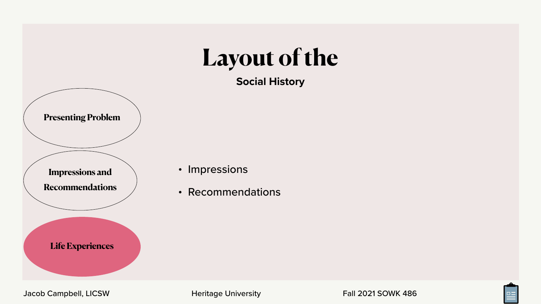![](_page_8_Picture_5.jpeg)

![](_page_8_Picture_7.jpeg)

![](_page_8_Figure_0.jpeg)

Jacob Campbell, LICSW **Heritage University** Fall 2021 SOWK 486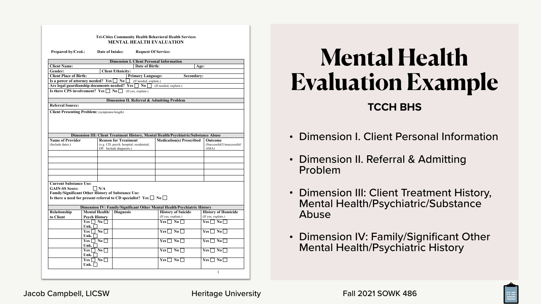### **TCCH BHS Mental Health Evaluation Example**

|                                                                                                       |                       |                                  |                             |                                         | <b>MENTAL HEALTH EVALUATION</b>                                                    |                   |                                                      |
|-------------------------------------------------------------------------------------------------------|-----------------------|----------------------------------|-----------------------------|-----------------------------------------|------------------------------------------------------------------------------------|-------------------|------------------------------------------------------|
| <b>Prepared by/Cred.:</b>                                                                             |                       | Date of Intake:                  |                             |                                         | <b>Request Of Service:</b>                                                         |                   |                                                      |
|                                                                                                       |                       |                                  |                             |                                         | <b>Dimension I. Client Personal Information</b>                                    |                   |                                                      |
| <b>Client Name:</b>                                                                                   |                       |                                  |                             | <b>Date of Birth:</b>                   |                                                                                    | Age:              |                                                      |
| <b>Gender:</b>                                                                                        |                       |                                  | <b>Client Ethnicity:</b>    |                                         |                                                                                    |                   |                                                      |
| <b>Client Place of Birth:</b>                                                                         |                       |                                  |                             | <b>Primary Language:</b>                |                                                                                    | <b>Secondary:</b> |                                                      |
| Is a power of attorney needed? Yes $\Box$                                                             |                       |                                  | $\mathbf{No}$ $\Box$        | (If needed, explain.)                   |                                                                                    |                   |                                                      |
| Are legal guardianship documents needed? Yes $\Box$<br>Is there CPS involvement? Yes $\Box$ No $\Box$ |                       |                                  |                             | $\mathbf{N}\mathbf{o}$                  | (If needed, explain.)                                                              |                   |                                                      |
|                                                                                                       |                       |                                  |                             | (If yes, explain.)                      |                                                                                    |                   |                                                      |
|                                                                                                       |                       |                                  |                             |                                         | Dimension II. Referral & Admitting Problem                                         |                   |                                                      |
| <b>Referral Source:</b>                                                                               |                       |                                  |                             |                                         |                                                                                    |                   |                                                      |
| <b>Client Presenting Problem:</b> (symptoms/length)                                                   |                       |                                  |                             |                                         |                                                                                    |                   |                                                      |
|                                                                                                       |                       |                                  |                             |                                         |                                                                                    |                   |                                                      |
|                                                                                                       |                       |                                  |                             |                                         |                                                                                    |                   |                                                      |
|                                                                                                       |                       |                                  |                             |                                         |                                                                                    |                   |                                                      |
|                                                                                                       |                       |                                  |                             |                                         |                                                                                    |                   |                                                      |
|                                                                                                       |                       |                                  |                             |                                         | Dimension III: Client Treatment History, Mental Health/Psychiatric/Substance Abuse |                   |                                                      |
| <b>Name of Provider</b>                                                                               |                       |                                  | <b>Reason for Treatment</b> |                                         | <b>Medication(s) Prescribed</b>                                                    |                   | <b>Outcome</b>                                       |
| (Include dates.)                                                                                      |                       |                                  |                             | (e.g. CD, psych. hospital, residential, |                                                                                    |                   | (Successful/Unsuccessful/                            |
|                                                                                                       |                       | OP. Include diagnosis.)          |                             |                                         |                                                                                    | AMA)              |                                                      |
|                                                                                                       |                       |                                  |                             |                                         |                                                                                    |                   |                                                      |
|                                                                                                       |                       |                                  |                             |                                         |                                                                                    |                   |                                                      |
|                                                                                                       |                       |                                  |                             |                                         |                                                                                    |                   |                                                      |
|                                                                                                       |                       |                                  |                             |                                         |                                                                                    |                   |                                                      |
|                                                                                                       |                       |                                  |                             |                                         |                                                                                    |                   |                                                      |
|                                                                                                       |                       |                                  |                             |                                         |                                                                                    |                   |                                                      |
|                                                                                                       |                       |                                  |                             |                                         |                                                                                    |                   |                                                      |
| <b>Current Substance Use:</b>                                                                         |                       |                                  |                             |                                         |                                                                                    |                   |                                                      |
| <b>GAIN-SS Score:</b>                                                                                 |                       | $\vert$ $\vert$ N/A              |                             |                                         |                                                                                    |                   |                                                      |
| <b>Family/Significant Other History of Substance Use:</b>                                             |                       |                                  |                             |                                         |                                                                                    |                   |                                                      |
| Is there a need for present referral to CD specialist? Yes $\Box$ No $\Box$                           |                       |                                  |                             |                                         |                                                                                    |                   |                                                      |
|                                                                                                       |                       |                                  |                             |                                         | Dimension IV: Family/Significant Other Mental Health/Psychiatric History           |                   |                                                      |
| Relationship                                                                                          | <b>Mental Health/</b> |                                  | <b>Diagnosis</b>            |                                         | <b>History of Suicide</b>                                                          |                   | <b>History of Homicide</b>                           |
| to Client                                                                                             | <b>Psych History</b>  |                                  |                             |                                         | (If yes, explain.)                                                                 |                   | (If yes, explain.)                                   |
|                                                                                                       | $Yes \Box No \Box$    |                                  |                             |                                         | $Yes \Box No \Box$                                                                 |                   | $Yes \Box No \Box$                                   |
|                                                                                                       | Unk.<br>Yes           |                                  |                             |                                         | $\vert$ No $\vert$                                                                 |                   | $Yes \mid \mid$<br>$\overline{\mathbf{N}}\mathbf{0}$ |
|                                                                                                       | Unk.                  | $\Box$ No $\Box$                 |                             |                                         | $Yes \Box$                                                                         |                   |                                                      |
|                                                                                                       | Yes                   | $\blacksquare$ No $\blacksquare$ |                             |                                         | $Yes \mid \mid$<br>$\overline{N_0}$                                                |                   | $Yes \mid \; \;  $<br>$\bf{No}$                      |
|                                                                                                       | Unk.                  |                                  |                             |                                         |                                                                                    |                   |                                                      |
|                                                                                                       | Yes                   | $\mathbf{N}\mathbf{o}$           |                             |                                         | $Yes$ $\Box$<br>$\bf{No}$                                                          |                   | $Yes \mid \mid$<br>$\bf{N}$ <sub>0</sub>             |
|                                                                                                       | Unk.                  |                                  |                             |                                         |                                                                                    |                   |                                                      |
|                                                                                                       | Yes                   | $\vert$ No $\vert$               |                             |                                         | $\bf{No}$<br>$Yes \mid \mid$                                                       |                   | $\bf{No}$<br>Yes                                     |

- Dimension I. Client Personal Information
- Dimension II. Referral & Admitting Problem
- Dimension III: Client Treatment History, Mental Health/Psychiatric/Substance Abuse
- Dimension IV: Family/Significant Other Mental Health/Psychiatric History

![](_page_9_Picture_8.jpeg)

![](_page_9_Picture_11.jpeg)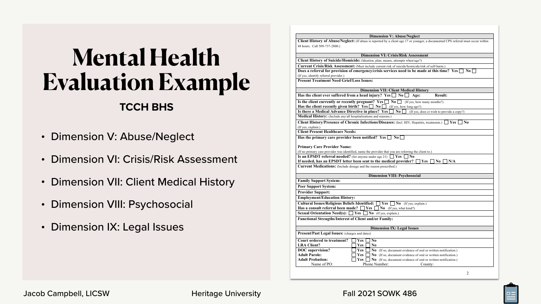### **TCCH BHS Mental Health Evaluation Example**

|                                                                         | <b>Dimension V: Abuse/Neglect</b>                                                                                                                                                          |
|-------------------------------------------------------------------------|--------------------------------------------------------------------------------------------------------------------------------------------------------------------------------------------|
| 48 hours. Call 509-737-2800.)                                           | <b>Client History of Abuse/Neglect:</b> (If abuse is reported by a client age 17 or younger, a documented CPS referral must occur within                                                   |
|                                                                         | <b>Dimension VI: Crisis/Risk Assessment</b>                                                                                                                                                |
|                                                                         | <b>Client History of Suicide/Homicide:</b> (Ideation, plan, means, attempts when/age?)                                                                                                     |
|                                                                         | Current Crisis/Risk Assessment: (Must include current risk of suicide/homicide/risk of self-harm.)                                                                                         |
| (If yes, identify referral provider.)                                   | Does a referral for provision of emergency/crisis services need to be made at this time? Yes<br>$\bf{No}$                                                                                  |
| <b>Present Treatment Need Grief/Loss Issues:</b>                        |                                                                                                                                                                                            |
|                                                                         | <b>Dimension VII: Client Medical History</b>                                                                                                                                               |
|                                                                         | Has the client ever suffered from a head injury? Yes $\Box$ No $\Box$<br><b>Result:</b><br>Age:                                                                                            |
|                                                                         | Is the client currently or recently pregnant? $Yes \Box No \Box$<br>(If yes, how many months?)<br><b>Has the client recently given birth?</b> Yes $\Box$ No $\Box$ (If yes, how long ago?) |
| Is there a Medical Advance Directive in place? Yes                      | $\overline{N_0}$<br>(If yes, does ct wish to provide a copy?)                                                                                                                              |
| Medical History: (Include any/all hospitalizations and reasons.)        |                                                                                                                                                                                            |
|                                                                         | Client History/Presence of Chronic Infections/Diseases: (Incl. HIV, Hepatitis, treatments.)  <br>Yes<br>N <sub>0</sub>                                                                     |
| (If yes, explain.)                                                      |                                                                                                                                                                                            |
| <b>Client Present Healthcare Needs:</b>                                 |                                                                                                                                                                                            |
| Has the primary care provider been notified? Yes [                      | $\bf{N}$ <sup><math>\bf{0}</math></sup><br>$\Box$                                                                                                                                          |
| <b>Primary Care Provider Name:</b>                                      |                                                                                                                                                                                            |
|                                                                         | (If no primary care provider was identified, name the provider that you are referring the client to.)                                                                                      |
|                                                                         | <b>Is an EPSDT referral needed?</b> (for anyone under age 21) $\Box$ <b>Yes</b> $\Box$ <b>No</b>                                                                                           |
|                                                                         | If needed, has an EPSDT letter been sent to the medical provider?<br>Yes  <br>N <sub>0</sub><br>N/A                                                                                        |
| <b>Current Medications:</b> (Include dosage and the reason prescribed.) |                                                                                                                                                                                            |
|                                                                         | <b>Dimension VIII: Psychosocial</b>                                                                                                                                                        |
| <b>Family Support System:</b>                                           |                                                                                                                                                                                            |
| <b>Peer Support System:</b>                                             |                                                                                                                                                                                            |
| <b>Provider Support:</b>                                                |                                                                                                                                                                                            |
| <b>Employment/Education History:</b>                                    |                                                                                                                                                                                            |
| Cultural Issues/Religious Beliefs Identified: <u>□ Yes</u> □            | $\bf{No}$ (If yes, explain.)                                                                                                                                                               |
| Has a consult referral been made?                                       | Yes<br>$\bf{No}$ (If yes, what kind?)                                                                                                                                                      |
| <b>Sexual Orientation Need(s):</b> [                                    | Yes<br>No (If yes, explain.)                                                                                                                                                               |
| <b>Functional Strengths/Interest of Client and/or Family:</b>           |                                                                                                                                                                                            |
|                                                                         | <b>Dimension IX: Legal Issues</b>                                                                                                                                                          |
| <b>Present/Past Legal Issues:</b> (charges and dates)                   |                                                                                                                                                                                            |
| <b>Court ordered to treatment?</b>                                      | No<br><b>Yes</b>                                                                                                                                                                           |
|                                                                         | N <sub>0</sub><br><b>Yes</b>                                                                                                                                                               |
|                                                                         |                                                                                                                                                                                            |
|                                                                         |                                                                                                                                                                                            |
| <b>LRA Client?</b><br><b>DOC</b> supervision?<br><b>Adult Parole:</b>   | <b>Yes</b><br>No (If so, document evidence of oral or written notification.)<br><b>Yes</b>                                                                                                 |
| <b>Adult Probation:</b>                                                 | No (If so, document evidence of oral or written notification.)<br>No (If so, document evidence of oral or written notification.)<br><b>Yes</b>                                             |

![](_page_10_Picture_11.jpeg)

- Dimension V: Abuse/Neglect
- Dimension VI: Crisis/Risk Assessment
- Dimension VII: Client Medical History
- Dimension VIII: Psychosocial
- Dimension IX: Legal Issues

Jacob Campbell, LICSW **Heritage University** Fall 2021 SOWK 486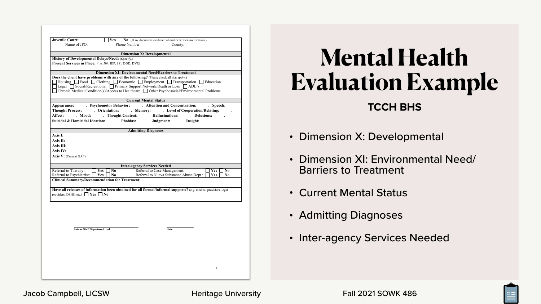### **TCCH BHS Mental Health Evaluation Example**

- Dimension X: Developmental
- Dimension XI: Environmental Need/ Barriers to Treatment
- Current Mental Status
- Admitting Diagnoses
- Inter-agency Services Needed

![](_page_11_Picture_9.jpeg)

![](_page_11_Picture_12.jpeg)

| <b>Juvenile Court:</b><br>Name of JPO:                                             | <b>Yes</b> $\Box$ <b>No</b> (If so, document evidence of oral or written notification.)<br>Phone Number:<br>County: |
|------------------------------------------------------------------------------------|---------------------------------------------------------------------------------------------------------------------|
|                                                                                    |                                                                                                                     |
|                                                                                    | <b>Dimension X: Developmental</b>                                                                                   |
| <b>History of Developmental Delays/Need:</b> (Specify.)                            |                                                                                                                     |
| Present Services in Place: (i.e. 504, IEP, SSI, DDD, DVR)                          |                                                                                                                     |
|                                                                                    | <b>Dimension XI: Environmental Need/Barriers to Treatment</b>                                                       |
|                                                                                    | Does the client have problems with any of the following? (Please check all that apply.)                             |
|                                                                                    | Housing $\Box$ Food $\Box$ Clothing $\Box$ Economic $\Box$ Employment $\Box$ Transportation $\Box$ Education        |
|                                                                                    | Legal Social/Recreational Primary Support Network/Death or Loss ADL's                                               |
|                                                                                    | Chronic Medical Condition(s)/Access to Healthcare $\Box$ Other Psychosocial/Environmental Problems                  |
|                                                                                    |                                                                                                                     |
|                                                                                    | <b>Current Mental Status</b>                                                                                        |
|                                                                                    | Appearance: Psychomotor Behavior: Attention and Concentration: Speech:                                              |
|                                                                                    | Thought Process: Crientation: Memory: Level of Cooperation/Relating:                                                |
|                                                                                    | Affect: Mood: Thought Content: Hallucinations: Delusions:                                                           |
|                                                                                    | Suicidal & Homicidal Ideation: Phobias:<br>. Judgment: . Insight:<br>$\sim$                                         |
|                                                                                    | <b>Admitting Diagnoses</b>                                                                                          |
| Axis I:                                                                            |                                                                                                                     |
| Axis II:                                                                           |                                                                                                                     |
| Axis III:                                                                          |                                                                                                                     |
| Axis IV:                                                                           |                                                                                                                     |
| <b>Axis V:</b> (Current GAF)                                                       |                                                                                                                     |
|                                                                                    |                                                                                                                     |
|                                                                                    | <b>Inter-agency Services Needed</b>                                                                                 |
| Referral to Therapy:                                                               | Yes<br>N <sub>0</sub><br>Referral to Case Management:<br>Yes<br>N <sub>0</sub>                                      |
| Referral to Psychiatrist:<br><b>Clinical Summary/Recommendation for Treatment:</b> | Referral to Nueva Substance Abuse Dept.:<br>Yes<br>Yes<br>N <sub>0</sub><br>N <sub>0</sub>                          |
|                                                                                    |                                                                                                                     |
|                                                                                    | Have all releases of information been obtained for all formal/informal supports? (e.g. medical providers, legal     |
| providers, DSHS, etc.) $\Box$ Yes                                                  | $\vert$ No                                                                                                          |
|                                                                                    |                                                                                                                     |
|                                                                                    |                                                                                                                     |
|                                                                                    |                                                                                                                     |
|                                                                                    |                                                                                                                     |
|                                                                                    |                                                                                                                     |
|                                                                                    |                                                                                                                     |
| Intake Staff Signature/Cred.                                                       | <b>Date</b>                                                                                                         |
|                                                                                    |                                                                                                                     |
|                                                                                    |                                                                                                                     |
|                                                                                    |                                                                                                                     |
|                                                                                    |                                                                                                                     |
|                                                                                    |                                                                                                                     |
|                                                                                    |                                                                                                                     |
|                                                                                    | 3                                                                                                                   |

#### Jacob Campbell, LICSW **Heritage University** Fall 2021 SOWK 486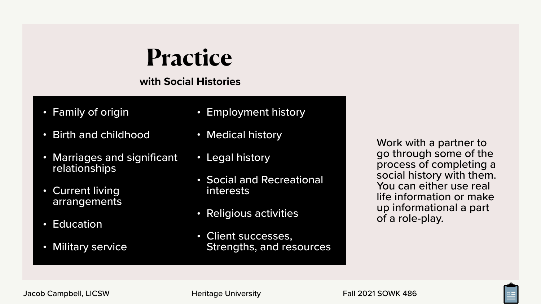- Family of origin
- Birth and childhood
- Marriages and significant relationships
- Current living arrangements
- Education
- **Military service**

**with Social Histories**

## **Practice**

- Employment history
- Medical history
- Legal history
- interests
- Religious activities
- Client successes,

• Social and Recreational

Strengths, and resources

Work with a partner to go through some of the process of completing a social history with them. You can either use real life information or make up informational a part of a role-play.

![](_page_12_Picture_23.jpeg)

![](_page_12_Picture_26.jpeg)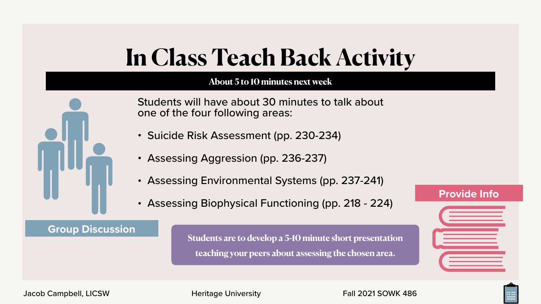### **About 5 to 10 minutes next week**

## **In Class Teach Back Activity**

Students will have about 30 minutes to talk about

one of the four following areas:

**Group Discussion**<br>Students are to develop a 5-10 minute short presentation **teaching your peers about assessing the chosen area.**

- Suicide Risk Assessment (pp. 230-234)
- Assessing Aggression (pp. 236-237)
- Assessing Environmental Systems (pp. 237-241)
- Assessing Biophysical Functioning (pp. 218 224)

![](_page_13_Picture_13.jpeg)

![](_page_13_Picture_14.jpeg)

![](_page_13_Picture_16.jpeg)

![](_page_13_Picture_17.jpeg)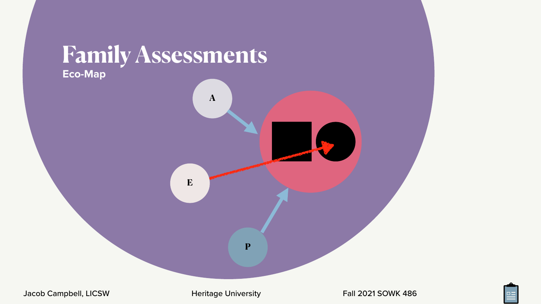![](_page_14_Picture_5.jpeg)

![](_page_14_Picture_8.jpeg)

![](_page_14_Picture_9.jpeg)

**E**

**P**

**A**

### **Family Assessments Eco-Map**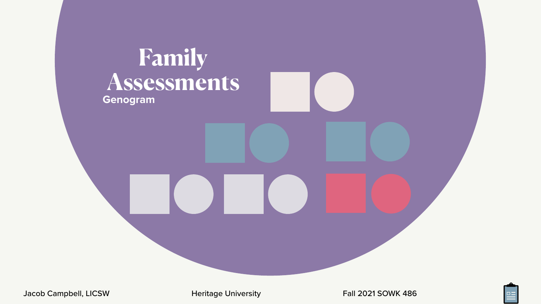![](_page_15_Picture_3.jpeg)

![](_page_15_Picture_6.jpeg)

![](_page_15_Picture_7.jpeg)

### **Family Assessments Genogram**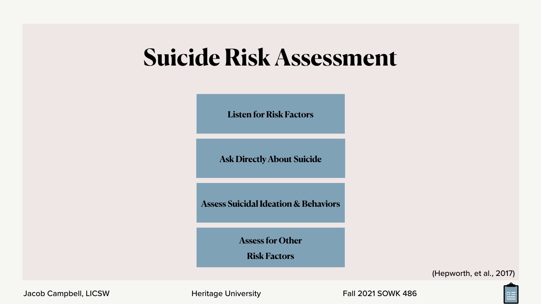## **Suicide Risk Assessment**

![](_page_16_Figure_1.jpeg)

(Hepworth, et al., 2017)

![](_page_16_Picture_12.jpeg)

![](_page_16_Picture_13.jpeg)

**Assess Suicidal Ideation & Behaviors**

**Listen for Risk Factors**

**Ask Directly About Suicide**

**Assess for Other**

**Risk Factors**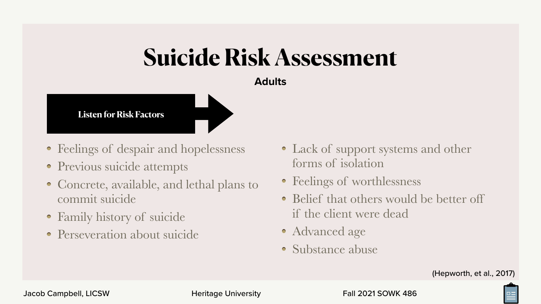### **Adults Suicide Risk Assessment**

- Feelings of despair and hopelessness
- Previous suicide attempts
- Concrete, available, and lethal plans to commit suicide
- Family history of suicide
- Perseveration about suicide

Jacob Campbell, LICSW **Heritage University** Fall 2021 SOWK 486

- Lack of support systems and other forms of isolation
- Feelings of worthlessness
- Belief that others would be better off if the client were dead
- Advanced age
- Substance abuse

![](_page_17_Picture_15.jpeg)

![](_page_17_Figure_1.jpeg)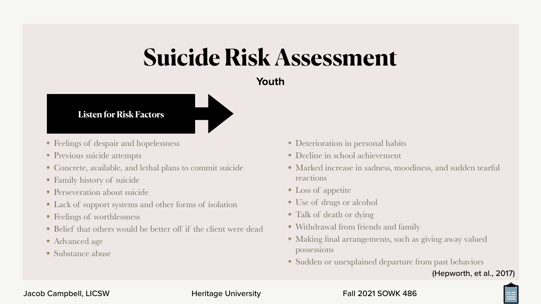### **Youth Suicide Risk Assessment**

- Deterioration in personal habits
- Decline in school achievement
- Marked increase in sadness, moodiness, and sudden tearful reactions
- Loss of appetite
- Use of drugs or alcohol
- Talk of death or dying
- Withdrawal from friends and family
- Making final arrangements, such as giving away valued possessions
- Sudden or unexplained departure from past behaviors

#### **Listen for Risk Factors**

- Feelings of despair and hopelessness
- Previous suicide attempts
- Concrete, available, and lethal plans to commit suicide
- Family history of suicide
- Perseveration about suicide
- Lack of support systems and other forms of isolation
- Feelings of worthlessness
- Belief that others would be better off if the client were dead
- Advanced age
- Substance abuse

Jacob Campbell, LICSW Heritage University Fall 2021 SOWK 486

![](_page_18_Picture_24.jpeg)

![](_page_18_Picture_27.jpeg)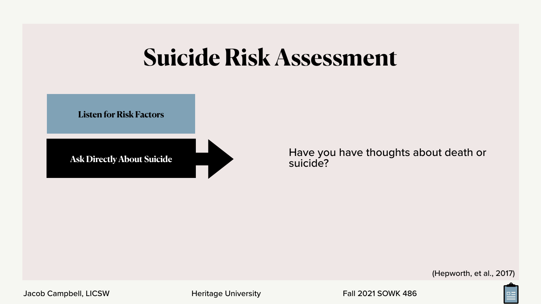#### Have you have thoughts about death or suicide?

## **Suicide Risk Assessment**

**Listen for Risk Factors**

**Ask Directly About Suicide**

Jacob Campbell, LICSW **Heritage University** Fall 2021 SOWK 486

![](_page_19_Picture_7.jpeg)

![](_page_19_Picture_10.jpeg)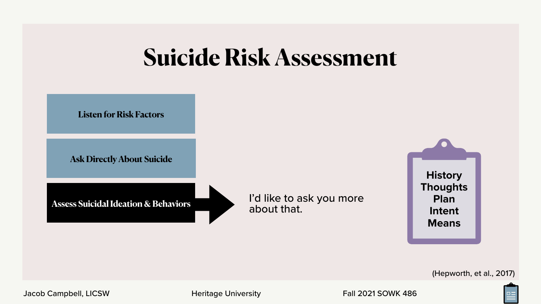I'd like to ask you more about that.

## **Suicide Risk Assessment**

![](_page_20_Picture_7.jpeg)

**Assess Suicidal Ideation & Behaviors**

Jacob Campbell, LICSW **Heritage University** Fall 2021 SOWK 486

**Listen for Risk Factors**

**Ask Directly About Suicide**

![](_page_20_Picture_9.jpeg)

![](_page_20_Picture_12.jpeg)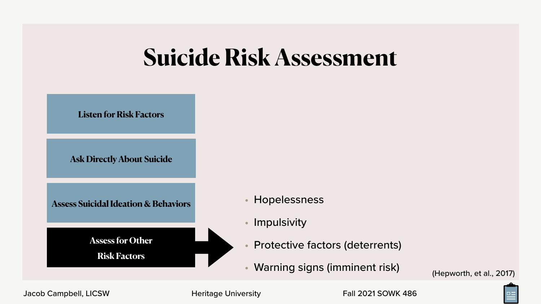## **Suicide Risk Assessment**

- **Hopelessness**
- **Impulsivity**
- Protective factors (deterrents)
- Warning signs (imminent risk)

**Assess Suicidal Ideation & Behaviors**

**Listen for Risk Factors**

**Ask Directly About Suicide**

**Assess for Other**

**Risk Factors**

Jacob Campbell, LICSW **Heritage University** Fall 2021 SOWK 486

![](_page_21_Picture_15.jpeg)

![](_page_21_Picture_16.jpeg)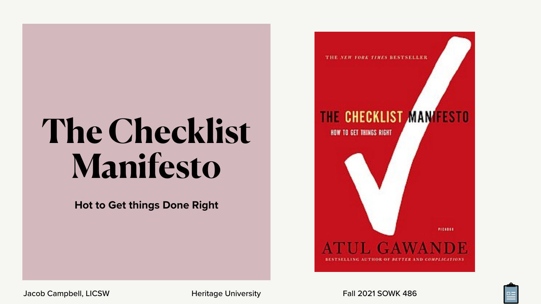THE NEW YORK TIMES BESTSELLER

### THE CHECKLIST MAN FESTO

**HOW TO GET THINGS RIGHT** 

**PICKESS** 

![](_page_22_Picture_8.jpeg)

![](_page_22_Picture_11.jpeg)

## **The Checklist Manifesto**

**Hot to Get things Done Right**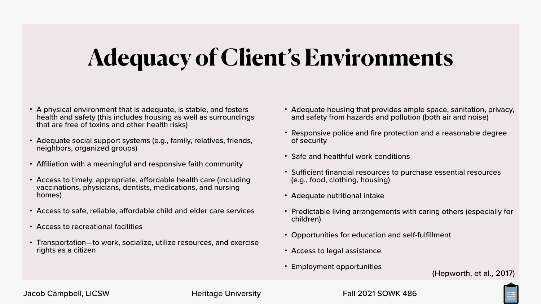## **Adequacy of Client's Environments**

- A physical environment that is adequate, is stable, and fosters health and safety (this includes housing as well as surroundings that are free of toxins and other health risks)
- Adequate social support systems (e.g., family, relatives, friends, neighbors, organized groups)
- Affiliation with a meaningful and responsive faith community
- Access to timely, appropriate, affordable health care (including vaccinations, physicians, dentists, medications, and nursing homes)
- Access to safe, reliable, affordable child and elder care services
- Access to recreational facilities
- Transportation—to work, socialize, utilize resources, and exercise rights as a citizen
- Adequate housing that provides ample space, sanitation, privacy, and safety from hazards and pollution (both air and noise)
- Responsive police and fire protection and a reasonable degree of security
- Safe and healthful work conditions
- Sufficient financial resources to purchase essential resources (e.g., food, clothing, housing)
- Adequate nutritional intake
- Predictable living arrangements with caring others (especially for children)
- Opportunities for education and self-fulfillment
- Access to legal assistance
- Employment opportunities (Hepworth, et al., 2017)

![](_page_23_Picture_20.jpeg)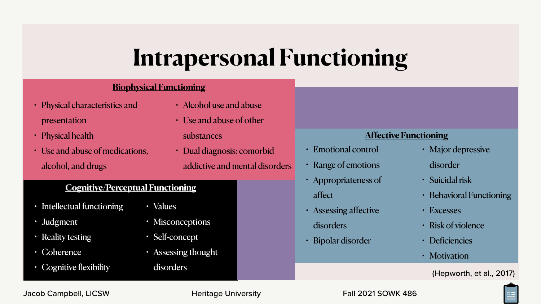## **Intrapersonal Functioning**

- Intellectual functioning
- Judgment
- Reality testing
- Coherence
- Cognitive flexibility

![](_page_24_Picture_22.jpeg)

- Physical characteristics and presentation
- Physical health
- Use and abuse of medications, alcohol, and drugs
- Alcohol use and abu
- Use and abuse of ot substances
- Dual diagnosis: con addictive and mental

| use          |                       |                              |
|--------------|-----------------------|------------------------------|
| her          |                       |                              |
|              |                       | <b>Affective Functioning</b> |
| norbid       | • Emotional control   | · Major depressive           |
| al disorders | • Range of emotions   | disorder                     |
|              | · Appropriateness of  | · Suicidal risk              |
|              | affect                | • Behavioral Functioning     |
|              | • Assessing affective | • Excesses                   |
|              | disorders             | · Risk of violence           |
|              | · Bipolar disorder    | · Deficiencies               |
|              |                       | · Motivation                 |
|              |                       | (Hepworth, et al., 2017)     |

- Values
- Misconceptions
- Self-concept
- Assessing thought

disorders

### **Cognitive/Perceptual Functioning**

#### **Biophysical Functioning**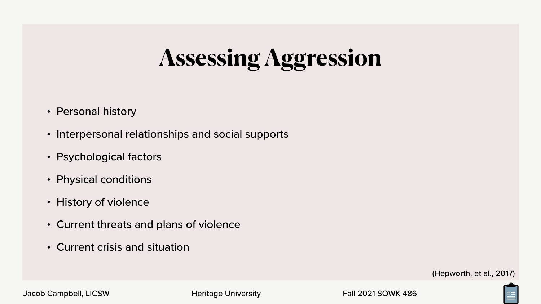## **Assessing Aggression**

- Personal history
- Interpersonal relationships and social supports
- Psychological factors
- Physical conditions
- History of violence
- Current threats and plans of violence
- Current crisis and situation

Jacob Campbell, LICSW **Heritage University** Fall 2021 SOWK 486

![](_page_25_Picture_12.jpeg)

![](_page_25_Picture_14.jpeg)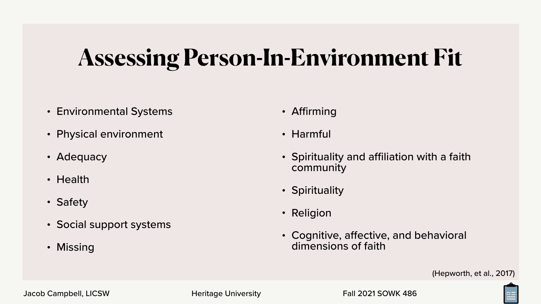## **Assessing Person-In-Environment Fit**

- Environmental Systems
- Physical environment
- Adequacy
- Health
- Safety
- Social support systems
- Missing
- Affirming
- Harmful
- Spirituality and affiliation with a faith community
- Spirituality
- Religion
- Cognitive, affective, and behavioral dimensions of faith

![](_page_26_Picture_17.jpeg)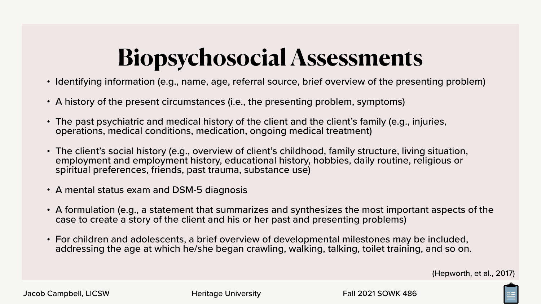## **Biopsychosocial Assessments**

- Identifying information (e.g., name, age, referral source, brief overview of the presenting problem)
- A history of the present circumstances (i.e., the presenting problem, symptoms)
- The past psychiatric and medical history of the client and the client's family (e.g., injuries, operations, medical conditions, medication, ongoing medical treatment)
- The client's social history (e.g., overview of client's childhood, family structure, living situation, employment and employment history, educational history, hobbies, daily routine, religious or spiritual preferences, friends, past trauma, substance use)
- A mental status exam and DSM-5 diagnosis
- A formulation (e.g., a statement that summarizes and synthesizes the most important aspects of the case to create a story of the client and his or her past and presenting problems)
- For children and adolescents, a brief overview of developmental milestones may be included, addressing the age at which he/she began crawling, walking, talking, toilet training, and so on.

![](_page_27_Picture_11.jpeg)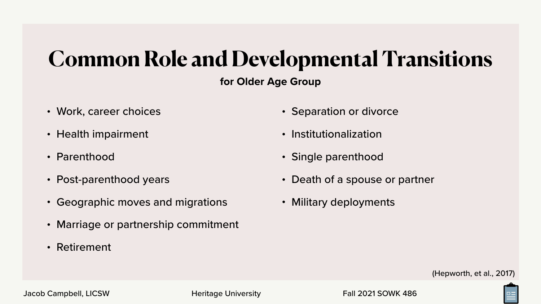### **for Older Age Group Common Role and Developmental Transitions**

- Separation or divorce
- Institutionalization
- Single parenthood
- Death of a spouse or partner
- Military deployments
- Work, career choices
- Health impairment
- Parenthood
- Post-parenthood years
- Geographic moves and migrations
- Marriage or partnership commitment
- Retirement

![](_page_28_Picture_16.jpeg)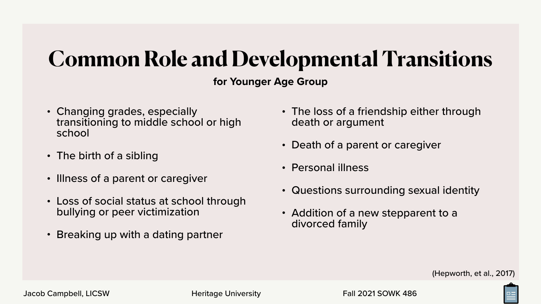### **for Younger Age Group Common Role and Developmental Transitions**

- Changing grades, especially transitioning to middle school or high school
- The birth of a sibling
- Illness of a parent or caregiver
- Loss of social status at school through bullying or peer victimization
- Breaking up with a dating partner
- The loss of a friendship either through death or argument
- Death of a parent or caregiver
- Personal illness
- Questions surrounding sexual identity
- Addition of a new stepparent to a divorced family

![](_page_29_Picture_14.jpeg)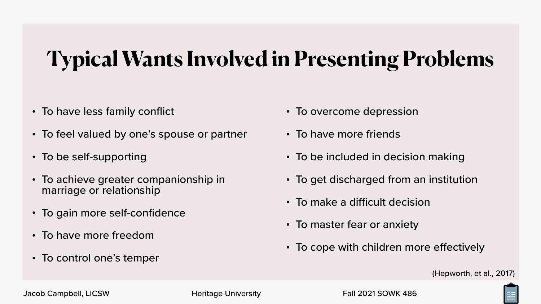## **Typical Wants Involved in Presenting Problems**

- To have less family conflict
- To feel valued by one's spouse or partner
- To be self-supporting
- To achieve greater companionship in marriage or relationship
- To gain more self-confidence
- To have more freedom
- To control one's temper
- To overcome depression
- To have more friends
- To be included in decision making
- To get discharged from an institution
- To make a difficult decision
- To master fear or anxiety
- To cope with children more effectively

![](_page_30_Picture_18.jpeg)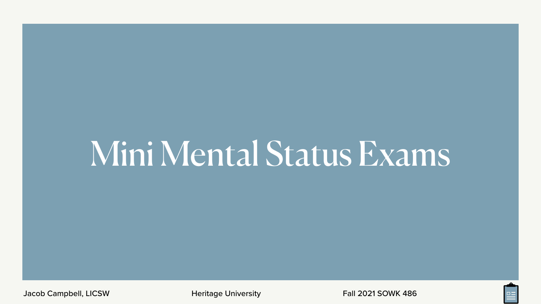## Mini Mental Status Exams

Jacob Campbell, LICSW **Heritage University** Fall 2021 SOWK 486

![](_page_31_Picture_3.jpeg)

![](_page_31_Picture_6.jpeg)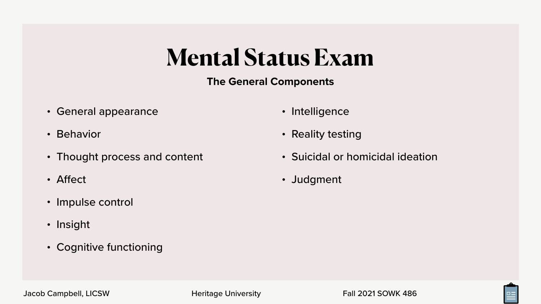### **The General Components Mental Status Exam**

- General appearance
- Behavior
- Thought process and content
- Affect
- Impulse control
- Insight
- Cognitive functioning
- Intelligence
- Reality testing
- Suicidal or homicidal ideation
- Judgment

![](_page_32_Picture_17.jpeg)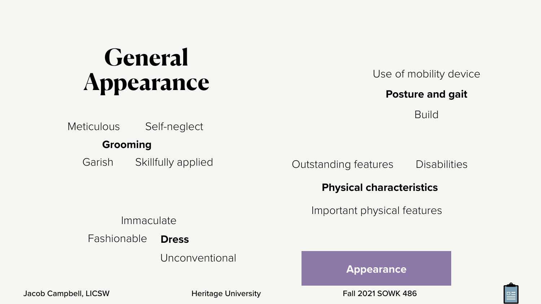### **Meticulous** Self-neglect

### **Grooming**

Garish Skillfully applied

#### Outstanding features **Disabilities**

### Immaculate

#### **Dress** Fashionable

Unconventional

Jacob Campbell, LICSW **Heritage University** Fall 2021 SOWK 486

## General **Appearance**

### **Physical characteristics**

Important physical features

### **Posture and gait**

**Build** 

### Use of mobility device

**Appearance**

![](_page_33_Picture_17.jpeg)

![](_page_33_Picture_18.jpeg)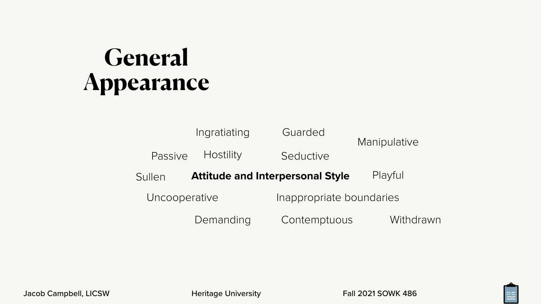**Hostility** Passive

## General **Appearance**

### **Attitude and Interpersonal Style** Uncooperative Inappropriate boundaries Seductive Playful Ingratiating Guarded Manipulative

Demanding Contemptuous Withdrawn

![](_page_34_Picture_13.jpeg)

Sullen

Jacob Campbell, LICSW **Heritage University** Fall 2021 SOWK 486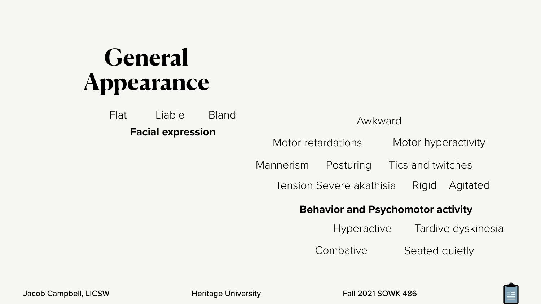**Facial expression** Flat Liable Bland

### **Behavior and Psychomotor activity**

**Hyperactive** Tardive dyskinesia

Seated quietly **Combative** 

![](_page_35_Picture_11.jpeg)

![](_page_35_Picture_14.jpeg)

## General **Appearance**

### Awkward

Motor retardations Motor hyperactivity

Mannerism Posturing Tics and twitches

Agitated Rigid Tension Severe akathisia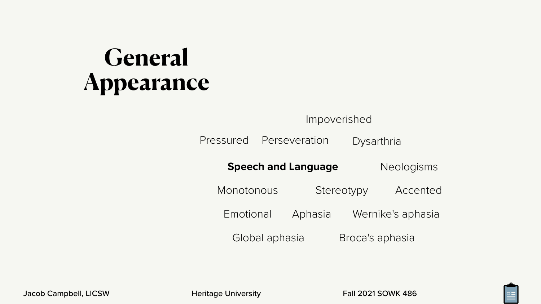Pressured

### **Speed**

Monotor

Emotic

Glob

Jacob Campbell, LICSW **Heritage University** Fall 2021 SOWK 486

| Impoverished |                 |            |                   |  |  |  |
|--------------|-----------------|------------|-------------------|--|--|--|
|              | Perseveration   | Dysarthria |                   |  |  |  |
|              | ch and Language |            | Neologisms        |  |  |  |
| nous         |                 | Stereotypy | Accented          |  |  |  |
| onal         | Aphasia         |            | Wernike's aphasia |  |  |  |
| al aphasia   |                 |            | Broca's aphasia   |  |  |  |

![](_page_36_Picture_11.jpeg)

![](_page_36_Picture_12.jpeg)

## **General Appearance**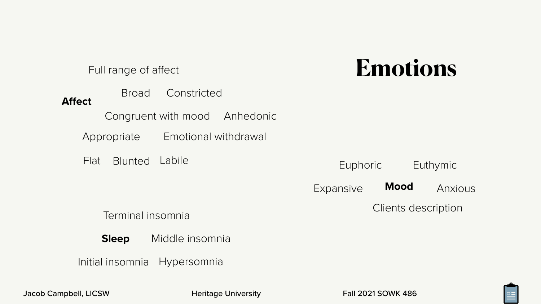#### **Mood** Euthymic Expansive Euphoric Anxious Clients description

![](_page_37_Picture_8.jpeg)

![](_page_37_Picture_11.jpeg)

**Affect** Broad Appropriate Constricted Flat Blunted Labile Anhedonic Emotional withdrawal Full range of affect Congruent with mood

> **Sleep** Middle insomnia

Initial insomnia Hypersomnia

Terminal insomnia

## **Emotions**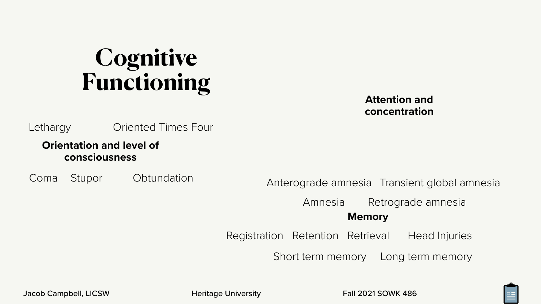### **Orientation and level of consciousness**

Coma Stupor Obtundation

Oriented Times Four

### **Attention and concentration**

#### **Memory** Amnesia Retrograde amnesia

Short term memory Long term memory

![](_page_38_Picture_12.jpeg)

![](_page_38_Picture_15.jpeg)

Registration Retention Retrieval Head Injuries

## Anterograde amnesia Transient global amnesia

## **Cognitive Functioning**

**Lethargy**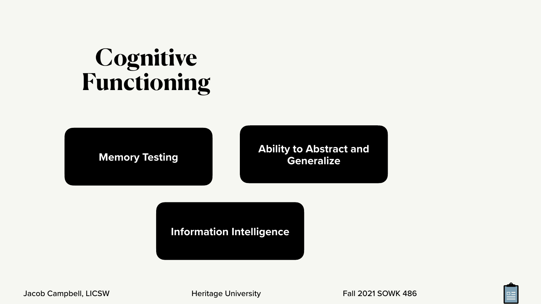### **Memory Testing Testing Remories Ability to Abstract and <br>Generalize Generalize**

![](_page_39_Picture_6.jpeg)

![](_page_39_Picture_7.jpeg)

![](_page_39_Picture_8.jpeg)

![](_page_39_Picture_10.jpeg)

### **Information Intelligence**

Jacob Campbell, LICSW **Heritage University** Fall 2021 SOWK 486

## **Cognitive Functioning**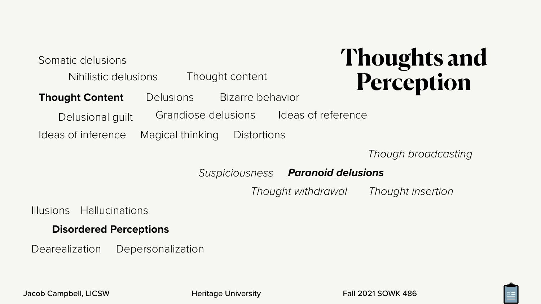### **Disordered Perceptions**

Illusions Hallucinations

Dearealization Depersonalization

*Paranoid delusions*

*Thought withdrawal Thought insertion*

![](_page_40_Picture_18.jpeg)

- 
- Bizarre behavior
	- Ideas of reference
	- **Distortions**

*Though broadcasting*

*Suspiciousness*

**Thought Content Delusions** Grandiose delusions Somatic delusions Delusional guilt Nihilistic delusions Ideas of inference Magical thinking Thought content

## **Thoughts and Perception**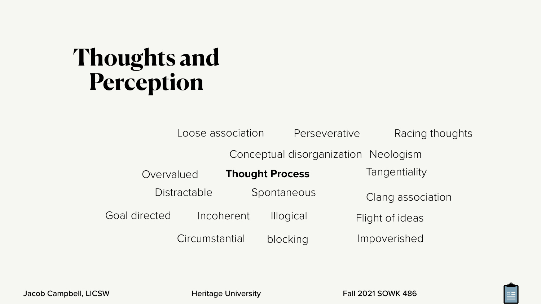![](_page_41_Picture_12.jpeg)

Spontaneous Impoverished Racing thoughts Incoherent Illogical Flight of ideas Conceptual disorganization Neologism

Overvalued Thought Process Tangentiality Circumstantial blocking Loose association Perseverative Distractable Spontaneous Clang association

Goal directed

## **Thoughts and Perception**